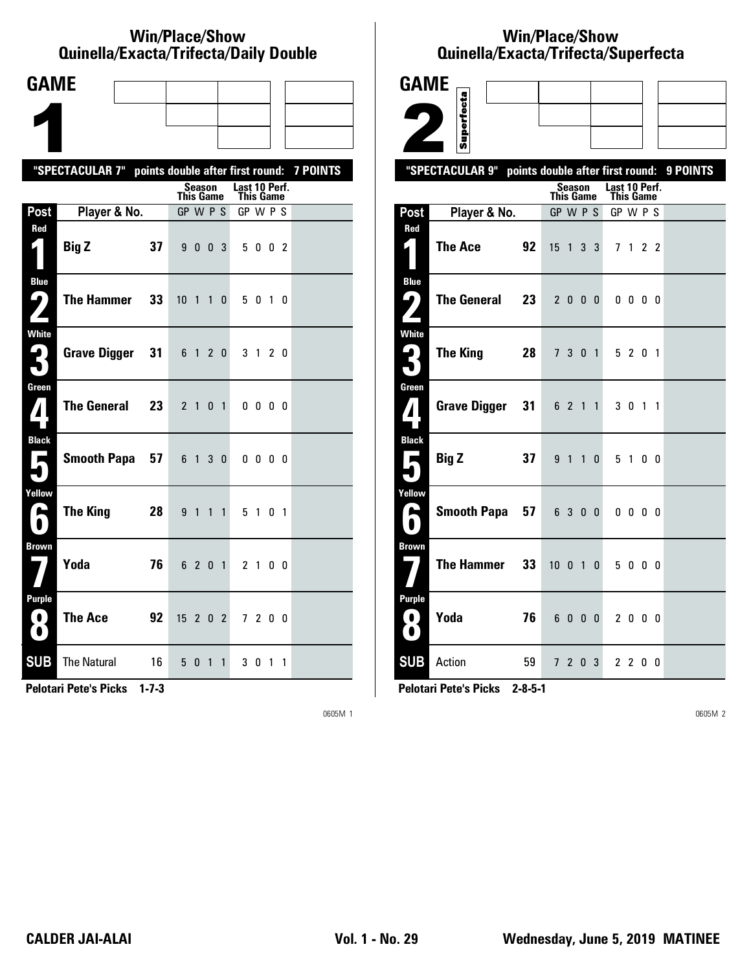#### **Win/Place/Show Qui nel la/Exacta/Tri fecta/Daily Dou ble**

| <b>GAME</b>                                   |                                                  |                                                   |                            |                 |
|-----------------------------------------------|--------------------------------------------------|---------------------------------------------------|----------------------------|-----------------|
|                                               |                                                  |                                                   |                            |                 |
|                                               |                                                  |                                                   |                            |                 |
|                                               | "SPECTACULAR 7" points double after first round: |                                                   |                            | <b>7 POINTS</b> |
|                                               |                                                  | Season<br><b>This Game</b>                        | Last 10 Perf.<br>This Game |                 |
| Post                                          | Player & No.                                     | GP W P S                                          | GP W P S                   |                 |
| Red<br>$\vert$                                | <b>Big Z</b><br>37                               | 9 0 0 3                                           | 5 0 0 2                    |                 |
| <b>Blue</b><br>9<br>Z                         | <b>The Hammer</b><br>33                          | 10 <sub>1</sub><br>$\overline{1}$<br>$\mathbf{0}$ | 5 0 1 0                    |                 |
| White<br>3                                    | Grave Digger<br>31                               | 6 1 2 0                                           | 3 1 2 0                    |                 |
| Green<br>$\mathbf{Z}$                         | <b>The General</b><br>23                         | 2 1 0 1                                           | $0\,0\,0\,0$               |                 |
| <b>Black</b><br>$\blacksquare$                | <b>Smooth Papa</b><br>57                         | 6 1<br>3 <sub>0</sub>                             | $0\,0\,0\,0$               |                 |
| Yellow<br>e                                   | <b>The King</b><br>28                            | 9 1<br>$\overline{1}$<br>$\mathbf{1}$             | 5 1 0 1                    |                 |
| <b>Brown</b>                                  | Yoda<br>76                                       | 6 2 0 1                                           | 2 1 0 0                    |                 |
| Purple<br>$\overline{\mathbf{0}}$<br>$\Omega$ | <b>The Ace</b><br>92                             | $15$ 2 0 2                                        | 7 2 0 0                    |                 |
| <b>SUB</b>                                    | <b>The Natural</b><br>16                         | 5 0 1<br>$\mathbf{1}$                             | 3 0 1 1                    |                 |

**Pelotari Pete's Picks 1-7-3**

0605M 1

### **Win/Place/Show Qui nel la/Exacta/Tri fecta/Super fecta**

| <b>GAME</b>          |                     |                                  |                  |                |              |              |                            |                |                |          |
|----------------------|---------------------|----------------------------------|------------------|----------------|--------------|--------------|----------------------------|----------------|----------------|----------|
|                      |                     |                                  |                  |                |              |              |                            |                |                |          |
|                      | Superfecta          |                                  |                  |                |              |              |                            |                |                |          |
|                      | "SPECTACULAR 9"     | points double after first round: |                  |                |              |              |                            |                |                | 9 POINTS |
|                      |                     |                                  | <b>This Game</b> | Season         |              |              | Last 10 Perf.<br>This Game |                |                |          |
| Post                 | Player & No.        |                                  | GP W P S         |                |              |              | GP W P S                   |                |                |          |
| Red                  |                     |                                  |                  |                |              |              |                            |                |                |          |
| $\mathbf{r}$         | <b>The Ace</b>      | 92                               | 15               | $\overline{1}$ | 3            | 3            |                            | 71             | 2 <sub>2</sub> |          |
| <b>Blue</b><br>4     | <b>The General</b>  | 23                               |                  |                |              |              |                            |                |                |          |
| $\mathbf{z}$         |                     |                                  |                  | 2000           |              |              |                            | $0\,0\,0\,0$   |                |          |
| <b>White</b>         |                     |                                  |                  |                |              |              |                            |                |                |          |
| $\mathbf{G}_1$<br>Ӻ. | <b>The King</b>     | 28                               |                  | 7 3 0 1        |              |              |                            | 5 2 0 1        |                |          |
| Green                |                     |                                  |                  |                |              |              |                            |                |                |          |
| $\mathbf{Z}$         | <b>Grave Digger</b> | 31                               |                  | 6 2 1 1        |              |              |                            | 3 0 1 1        |                |          |
| <b>Black</b>         |                     |                                  |                  |                |              |              |                            |                |                |          |
| Е                    | <b>Big Z</b>        | 37                               | 9 <sub>1</sub>   |                | $\mathbf{1}$ | $\mathbf{0}$ | 5                          | $\overline{1}$ | 0 <sub>0</sub> |          |
| Yellow               |                     |                                  |                  |                |              |              |                            |                |                |          |
| $\bullet$            | <b>Smooth Papa</b>  | 57                               |                  | 6 3 0 0        |              |              |                            | $0\ 0\ 0\ 0$   |                |          |
| Brown                |                     |                                  |                  |                |              |              |                            |                |                |          |
|                      | <b>The Hammer</b>   | 33                               | $10 \t 0 \t 1$   |                |              | $\mathbf{0}$ |                            | 5000           |                |          |
| <b>Purple</b>        |                     |                                  |                  |                |              |              |                            |                |                |          |
| O<br>$\bullet$       | Yoda                | 76                               | 6                | $\mathbf{0}$   | 0            | 0            |                            | 2000           |                |          |
| <b>SUB</b>           | Action              | 59                               |                  | 720            |              | 3            |                            | 2 2 0 0        |                |          |

**Pelotari Pete's Picks 2-8-5-1**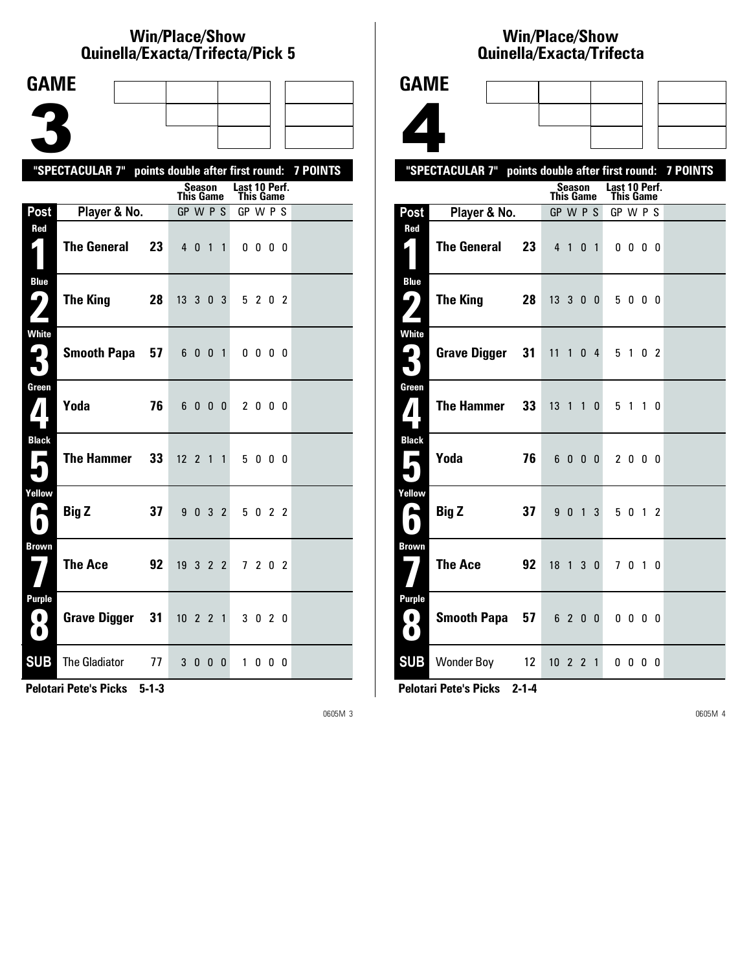### **Win/Place/Show Qui nel la/Exacta/Tri fecta/Pick 5**

| <b>GAME</b>                         |                                                           |                |                              |                     |                |                |                       |                   |  |  |
|-------------------------------------|-----------------------------------------------------------|----------------|------------------------------|---------------------|----------------|----------------|-----------------------|-------------------|--|--|
|                                     |                                                           |                |                              |                     |                |                |                       |                   |  |  |
|                                     |                                                           |                |                              |                     |                |                |                       |                   |  |  |
|                                     |                                                           |                |                              |                     |                |                |                       |                   |  |  |
|                                     | "SPECTACULAR 7" points double after first round: 7 POINTS |                |                              | <b>Season</b>       |                |                | Last 10 Perf.         |                   |  |  |
| Post                                | Player & No.                                              |                | <b>This Game</b><br>GP W P S |                     |                |                | This Game<br>GP W P S |                   |  |  |
| Red                                 |                                                           |                |                              |                     |                |                |                       |                   |  |  |
| $\mathbf{r}$                        | <b>The General</b>                                        | 23             | $4\quad0$                    |                     | $\overline{1}$ | $\mathbf{1}$   |                       | $0\,0\,0\,0$      |  |  |
| <b>Blue</b><br>9                    | The King                                                  | 28             | $13 \t3 \t0 \t3$             |                     |                |                |                       | 5 2 0 2           |  |  |
| <b>White</b><br>2<br>$\blacksquare$ |                                                           | Smooth Papa 57 |                              | 6001                |                |                |                       | $0\,0\,0\,0$      |  |  |
| Green<br>$\boldsymbol{I}$           | Yoda                                                      | 76             | 6                            | $0\quad 0\quad 0$   |                |                |                       | 2000              |  |  |
| <b>Black</b><br>Е                   | The Hammer                                                | 33             | $12 \t2 \t1 \t1$             |                     |                |                |                       | 5000              |  |  |
| Yellow<br>е                         | <b>Big Z</b>                                              | 37             | 9                            | $0 \quad 3 \quad 2$ |                |                |                       | 5022              |  |  |
| <b>Brown</b>                        | <b>The Ace</b>                                            | 92             | 19322                        |                     |                |                |                       | 7 2 0 2           |  |  |
| Purple<br>( O )<br>$\bullet$        | <b>Grave Digger</b>                                       | 31             | $10 \quad 2 \quad 2 \quad 1$ |                     |                |                |                       | 3 0 2 0           |  |  |
| <b>SUB</b>                          | <b>The Gladiator</b>                                      | 77             |                              | 30                  |                | 0 <sub>0</sub> | $\mathbf{1}$          | $0\quad 0\quad 0$ |  |  |

**Pelotari Pete's Picks 5-1-3**

0605M 3

## **Win/Place/Show Qui nel la/Exacta/Tri fecta**

|                                                           |                 | Quilicila/Lagula/Tilicula |                          |  |
|-----------------------------------------------------------|-----------------|---------------------------|--------------------------|--|
| <b>GAME</b>                                               |                 |                           |                          |  |
|                                                           |                 |                           |                          |  |
|                                                           |                 |                           |                          |  |
|                                                           |                 |                           |                          |  |
| "SPECTACULAR 7" points double after first round: 7 POINTS |                 | Season                    | Last 10 Perf.            |  |
| Player & No.<br>Post                                      |                 | This Game<br>GP W P S     | This Game<br>GP W P S    |  |
| Red                                                       |                 |                           |                          |  |
| $\bigg($<br><b>The General</b>                            | 23              | 4 1 0 1                   | $0\,0\,0\,0$             |  |
| <b>Blue</b>                                               |                 |                           |                          |  |
| ر با<br><b>The King</b><br>$\mathbf{z}$                   | 28              | 13300                     | 5000                     |  |
| <b>White</b>                                              |                 |                           |                          |  |
| Grave Digger 31                                           |                 | $11$ 1 0 4                | 5 1 0 2                  |  |
| Green<br><b>The Hammer</b><br>$\boldsymbol{A}$            | 33 <sup>°</sup> | $13 \t1 \t1 \t0$          | 5 1 1 0                  |  |
|                                                           |                 |                           |                          |  |
| <b>Black</b><br>Yoda<br>$\blacksquare$                    | 76              | 6000                      | 2000                     |  |
|                                                           |                 |                           |                          |  |
| Yellow<br><b>Big Z</b><br>A                               | 37              | 9 0 1 3                   | 5 0 1 2                  |  |
| $\bullet$                                                 |                 |                           |                          |  |
| <b>Brown</b><br><b>The Ace</b>                            | 92              | 18 1 3 0                  | 7 0 1 0                  |  |
|                                                           |                 |                           |                          |  |
| Purple<br>Smooth Papa 57 6 2 0 0<br>$\bullet$             |                 |                           | $0\quad 0\quad 0\quad 0$ |  |
| O                                                         |                 |                           |                          |  |
| <b>SUB</b> Wonder Boy                                     | 12              | $10 \t2 \t2 \t1$          | $0\quad 0\quad 0\quad 0$ |  |

**Pelotari Pete's Picks 2-1-4**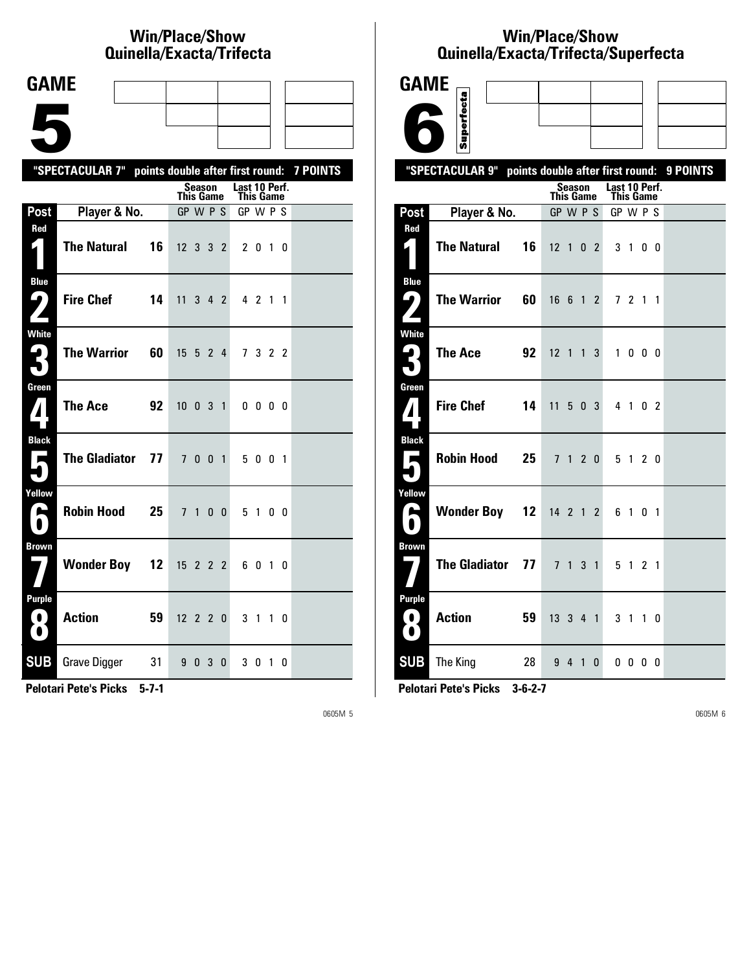# **Win/Place/Show Qui nel la/Exacta/Tri fecta**

| <b>GAME</b>                              |                                                           |                                  |                                   |  |
|------------------------------------------|-----------------------------------------------------------|----------------------------------|-----------------------------------|--|
|                                          |                                                           |                                  |                                   |  |
|                                          |                                                           |                                  |                                   |  |
|                                          | "SPECTACULAR 7" points double after first round: 7 POINTS |                                  |                                   |  |
|                                          |                                                           | Season<br><b>This Game</b>       | Last 10 Perf.<br><b>This Game</b> |  |
| Post                                     | Player & No.                                              | GP W P S                         | GP W P S                          |  |
| Red                                      |                                                           |                                  |                                   |  |
|                                          | <b>The Natural</b><br>16                                  | 12 3 3 2                         | 2 0 1 0                           |  |
| <b>Blue</b><br><u>( ما</u>               | <b>Fire Chef</b><br>14                                    | 11<br>3 4 2                      | 4 2 1 1                           |  |
| $\mathbf{Z}$                             |                                                           |                                  |                                   |  |
| White                                    | <b>The Warrior</b><br>60                                  | 15<br>5 2 4                      | 7 3 2 2                           |  |
| 3                                        |                                                           |                                  |                                   |  |
| Green<br>$\mathbf{Z}$                    | <b>The Ace</b><br>92                                      | $10 \t0 \t3 \t1$                 | 0000                              |  |
|                                          |                                                           |                                  |                                   |  |
| <b>Black</b><br>$\overline{\phantom{a}}$ | <b>The Gladiator</b><br>77                                | 7 0 0 1                          | 5 0 0 1                           |  |
|                                          |                                                           |                                  |                                   |  |
| Yellow<br>A                              | <b>Robin Hood</b><br>25                                   | 7 <sub>1</sub><br>0 <sub>0</sub> | 5 1<br>00                         |  |
|                                          |                                                           |                                  |                                   |  |
| <b>Brown</b>                             |                                                           |                                  |                                   |  |
|                                          | <b>Wonder Boy 12</b>                                      | $15$ 2 2 2                       | 6010                              |  |
| <b>Purple</b>                            |                                                           |                                  |                                   |  |
| $\bf O$<br>$\Omega$                      | <b>Action</b><br>59                                       | $12 \t2 \t2 \t0$                 | 3 1 1 0                           |  |
| <b>SUB</b>                               | <b>Grave Digger</b><br>31                                 | 9 0 3<br>0                       | 3 0 1 0                           |  |
|                                          |                                                           |                                  |                                   |  |

**Pelotari Pete's Picks 5-7-1**

0605M 5

### **Win/Place/Show Qui nel la/Exacta/Tri fecta/Super fecta**

| <b>GAME</b>                      |                      |    |                                  |                |     |                |                                   |              |    |          |
|----------------------------------|----------------------|----|----------------------------------|----------------|-----|----------------|-----------------------------------|--------------|----|----------|
|                                  | Superfecta           |    |                                  |                |     |                |                                   |              |    |          |
|                                  |                      |    |                                  |                |     |                |                                   |              |    |          |
|                                  | "SPECTACULAR 9"      |    | points double after first round: |                |     |                |                                   |              |    | 9 POINTS |
|                                  |                      |    | <b>This Game</b>                 | Season         |     |                | Last 10 Perf.<br><b>This Game</b> |              |    |          |
| Post                             | Player & No.         |    | GP W P S                         |                |     |                | GP W P S                          |              |    |          |
| Red<br>$\mathbf{r}$              | <b>The Natural</b>   | 16 | $12 \t1 \t0 \t2$                 |                |     |                |                                   | 3 1 0 0      |    |          |
| <b>Blue</b><br>ر ما              | <b>The Warrior</b>   | 60 | 1661                             |                |     | $\mathbf{2}$   |                                   | 7 2 1 1      |    |          |
| <b>White</b><br>ہا<br>5          | <b>The Ace</b>       | 92 | $12$ 1 1 3                       |                |     |                |                                   | 1000         |    |          |
| Green<br>$\boldsymbol{I}$        | <b>Fire Chef</b>     | 14 | 11                               |                | 503 |                |                                   | 4 1 0 2      |    |          |
| <b>Black</b><br>Е<br>۹           | <b>Robin Hood</b>    | 25 |                                  | 7 <sub>1</sub> |     | 2 <sub>0</sub> |                                   | 5 1          | 20 |          |
| Yellow<br>É<br>$\bullet$         | <b>Wonder Boy 12</b> |    | 14 2 1 2                         |                |     |                |                                   | 6 1 0 1      |    |          |
| <b>Brown</b>                     | <b>The Gladiator</b> | 77 |                                  | 7 1 3 1        |     |                |                                   | 5 1 2 1      |    |          |
| <b>Purple</b><br>0)<br>$\bullet$ | <b>Action</b>        | 59 | 13    3    4   1                 |                |     |                | 3 <sub>1</sub>                    |              | 10 |          |
| <b>SUB</b>                       | The King             | 28 |                                  | 9 4 1          |     | $\bf{0}$       |                                   | $0\,0\,0\,0$ |    |          |

**Pelotari Pete's Picks 3-6-2-7**